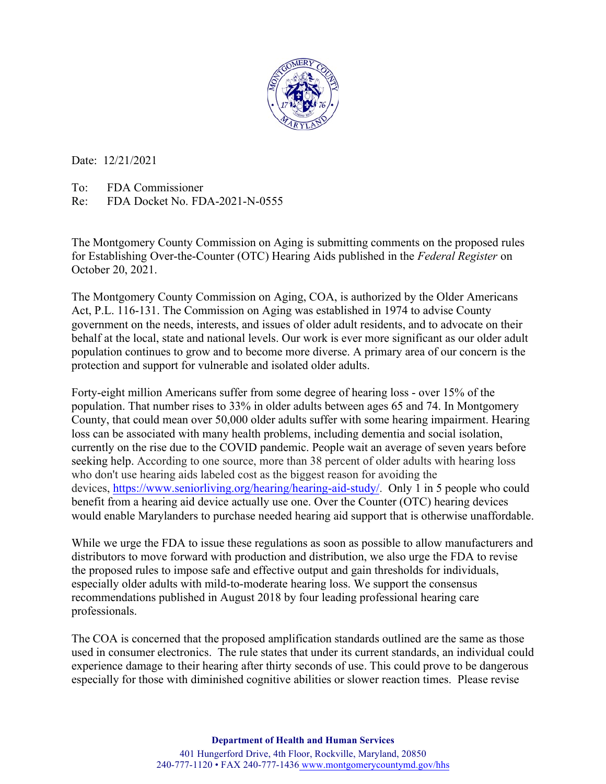

Date: 12/21/2021

To: FDA Commissioner

Re: FDA Docket No. FDA-2021-N-0555

The Montgomery County Commission on Aging is submitting comments on the proposed rules for Establishing Over-the-Counter (OTC) Hearing Aids published in the *Federal Register* on October 20, 2021.

The Montgomery County Commission on Aging, COA, is authorized by the Older Americans Act, P.L. 116-131. The Commission on Aging was established in 1974 to advise County government on the needs, interests, and issues of older adult residents, and to advocate on their behalf at the local, state and national levels. Our work is ever more significant as our older adult population continues to grow and to become more diverse. A primary area of our concern is the protection and support for vulnerable and isolated older adults.

Forty-eight million Americans suffer from some degree of hearing loss - over 15% of the population. That number rises to 33% in older adults between ages 65 and 74. In Montgomery County, that could mean over 50,000 older adults suffer with some hearing impairment. Hearing loss can be associated with many health problems, including dementia and social isolation, currently on the rise due to the COVID pandemic. People wait an average of seven years before seeking help. According to one source, more than 38 percent of older adults with hearing loss who don't use hearing aids labeled cost as the biggest reason for avoiding the devices, https://www.seniorliving.org/hearing/hearing-aid-study/. Only 1 in 5 people who could benefit from a hearing aid device actually use one. Over the Counter (OTC) hearing devices would enable Marylanders to purchase needed hearing aid support that is otherwise unaffordable.

While we urge the FDA to issue these regulations as soon as possible to allow manufacturers and distributors to move forward with production and distribution, we also urge the FDA to revise the proposed rules to impose safe and effective output and gain thresholds for individuals, especially older adults with mild-to-moderate hearing loss. We support the consensus recommendations published in August 2018 by four leading professional hearing care professionals.

The COA is concerned that the proposed amplification standards outlined are the same as those used in consumer electronics. The rule states that under its current standards, an individual could experience damage to their hearing after thirty seconds of use. This could prove to be dangerous especially for those with diminished cognitive abilities or slower reaction times. Please revise